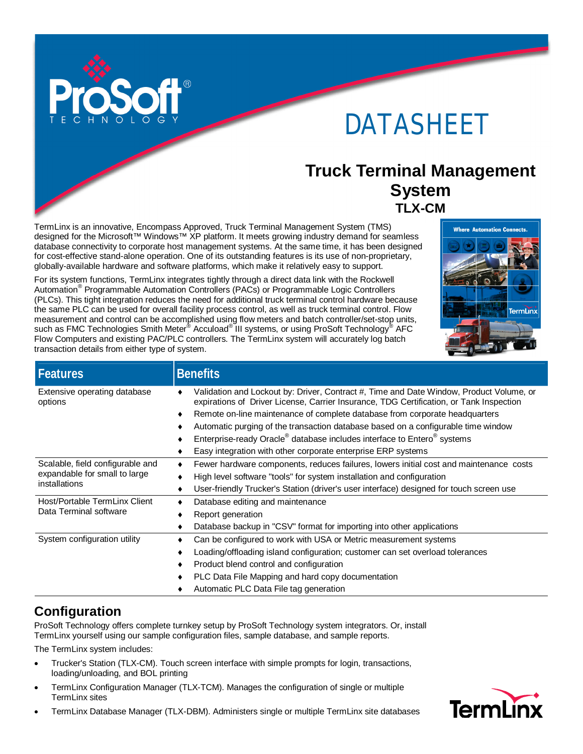

# DATASHEET

### **Truck Terminal Management System TLX-CM**

TermLinx is an innovative, Encompass Approved, Truck Terminal Management System (TMS) designed for the Microsoft™ Windows™ XP platform. It meets growing industry demand for seamless database connectivity to corporate host management systems. At the same time, it has been designed for cost-effective stand-alone operation. One of its outstanding features is its use of non-proprietary, globally-available hardware and software platforms, which make it relatively easy to support.

For its system functions, TermLinx integrates tightly through a direct data link with the Rockwell Automation<sup>®</sup> Programmable Automation Controllers (PACs) or Programmable Logic Controllers (PLCs). This tight integration reduces the need for additional truck terminal control hardware because the same PLC can be used for overall facility process control, as well as truck terminal control. Flow measurement and control can be accomplished using flow meters and batch controller/set-stop units, such as FMC Technologies Smith Meter $^{\circledast}$  Accuload $^{\circledast}$ III systems, or using ProSoft Technology $^{\circledast}$  AFC Flow Computers and existing PAC/PLC controllers. The TermLinx system will accurately log batch transaction details from either type of system.



| <b>Features</b>                                                                    | <b>Benefits</b>                                                                                                                                                                    |
|------------------------------------------------------------------------------------|------------------------------------------------------------------------------------------------------------------------------------------------------------------------------------|
| Extensive operating database<br>options                                            | Validation and Lockout by: Driver, Contract #, Time and Date Window, Product Volume, or<br>expirations of Driver License, Carrier Insurance, TDG Certification, or Tank Inspection |
|                                                                                    | Remote on-line maintenance of complete database from corporate headquarters                                                                                                        |
|                                                                                    | Automatic purging of the transaction database based on a configurable time window<br>٠                                                                                             |
|                                                                                    | Enterprise-ready Oracle <sup>®</sup> database includes interface to Entero <sup>®</sup> systems                                                                                    |
|                                                                                    | Easy integration with other corporate enterprise ERP systems                                                                                                                       |
| Scalable, field configurable and<br>expandable for small to large<br>installations | Fewer hardware components, reduces failures, lowers initial cost and maintenance costs<br>٠                                                                                        |
|                                                                                    | High level software "tools" for system installation and configuration                                                                                                              |
|                                                                                    | User-friendly Trucker's Station (driver's user interface) designed for touch screen use<br>٠                                                                                       |
| Host/Portable TermLinx Client<br>Data Terminal software                            | Database editing and maintenance                                                                                                                                                   |
|                                                                                    | Report generation                                                                                                                                                                  |
|                                                                                    | Database backup in "CSV" format for importing into other applications<br>٠                                                                                                         |
| System configuration utility                                                       | Can be configured to work with USA or Metric measurement systems                                                                                                                   |
|                                                                                    | Loading/offloading island configuration; customer can set overload tolerances<br>٠                                                                                                 |
|                                                                                    | Product blend control and configuration<br>٠                                                                                                                                       |
|                                                                                    | PLC Data File Mapping and hard copy documentation<br>٠                                                                                                                             |
|                                                                                    | Automatic PLC Data File tag generation                                                                                                                                             |

### **Configuration**

ProSoft Technology offers complete turnkey setup by ProSoft Technology system integrators. Or, install TermLinx yourself using our sample configuration files, sample database, and sample reports.

The TermLinx system includes:

- Trucker's Station (TLX-CM). Touch screen interface with simple prompts for login, transactions, loading/unloading, and BOL printing
- TermLinx Configuration Manager (TLX-TCM). Manages the configuration of single or multiple TermLinx sites
- TermLinx Database Manager (TLX-DBM). Administers single or multiple TermLinx site databases